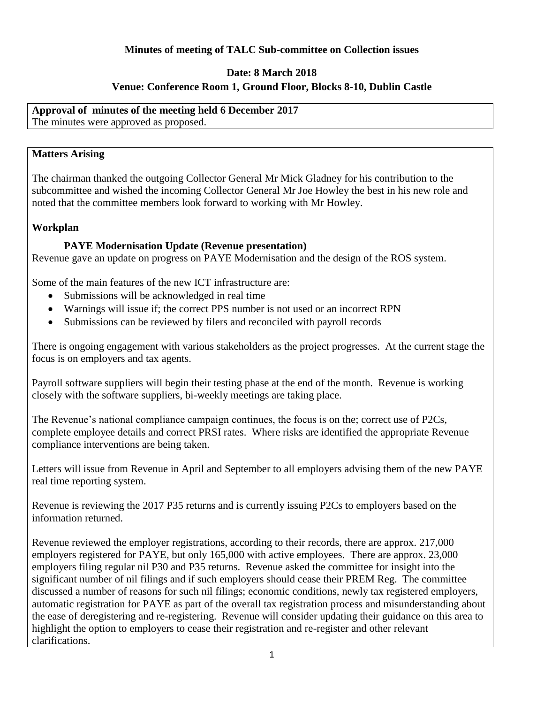## **Minutes of meeting of TALC Sub-committee on Collection issues**

### **Date: 8 March 2018**

# **Venue: Conference Room 1, Ground Floor, Blocks 8-10, Dublin Castle**

**Approval of minutes of the meeting held 6 December 2017** The minutes were approved as proposed.

### **Matters Arising**

The chairman thanked the outgoing Collector General Mr Mick Gladney for his contribution to the subcommittee and wished the incoming Collector General Mr Joe Howley the best in his new role and noted that the committee members look forward to working with Mr Howley.

### **Workplan**

### **PAYE Modernisation Update (Revenue presentation)**

Revenue gave an update on progress on PAYE Modernisation and the design of the ROS system.

Some of the main features of the new ICT infrastructure are:

- Submissions will be acknowledged in real time
- Warnings will issue if; the correct PPS number is not used or an incorrect RPN
- Submissions can be reviewed by filers and reconciled with payroll records

There is ongoing engagement with various stakeholders as the project progresses. At the current stage the focus is on employers and tax agents.

Payroll software suppliers will begin their testing phase at the end of the month. Revenue is working closely with the software suppliers, bi-weekly meetings are taking place.

The Revenue's national compliance campaign continues, the focus is on the; correct use of P2Cs, complete employee details and correct PRSI rates. Where risks are identified the appropriate Revenue compliance interventions are being taken.

Letters will issue from Revenue in April and September to all employers advising them of the new PAYE real time reporting system.

Revenue is reviewing the 2017 P35 returns and is currently issuing P2Cs to employers based on the information returned.

Revenue reviewed the employer registrations, according to their records, there are approx. 217,000 employers registered for PAYE, but only 165,000 with active employees. There are approx. 23,000 employers filing regular nil P30 and P35 returns. Revenue asked the committee for insight into the significant number of nil filings and if such employers should cease their PREM Reg. The committee discussed a number of reasons for such nil filings; economic conditions, newly tax registered employers, automatic registration for PAYE as part of the overall tax registration process and misunderstanding about the ease of deregistering and re-registering. Revenue will consider updating their guidance on this area to highlight the option to employers to cease their registration and re-register and other relevant clarifications.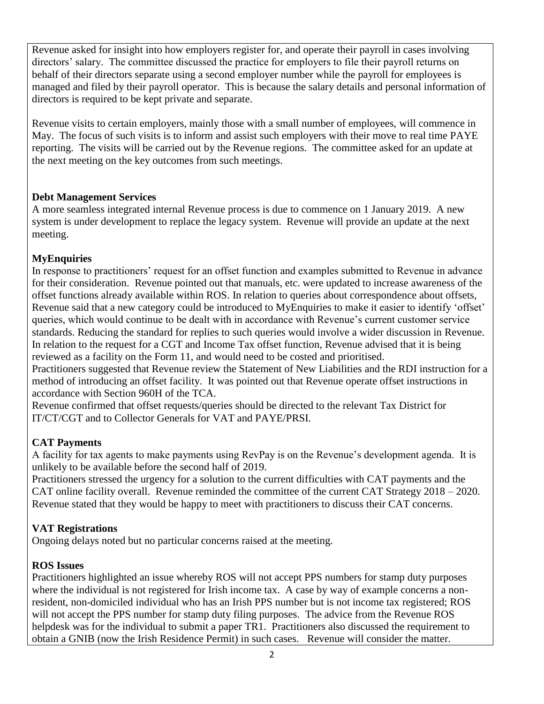Revenue asked for insight into how employers register for, and operate their payroll in cases involving directors' salary. The committee discussed the practice for employers to file their payroll returns on behalf of their directors separate using a second employer number while the payroll for employees is managed and filed by their payroll operator. This is because the salary details and personal information of directors is required to be kept private and separate.

Revenue visits to certain employers, mainly those with a small number of employees, will commence in May. The focus of such visits is to inform and assist such employers with their move to real time PAYE reporting. The visits will be carried out by the Revenue regions. The committee asked for an update at the next meeting on the key outcomes from such meetings.

## **Debt Management Services**

A more seamless integrated internal Revenue process is due to commence on 1 January 2019. A new system is under development to replace the legacy system. Revenue will provide an update at the next meeting.

# **MyEnquiries**

In response to practitioners' request for an offset function and examples submitted to Revenue in advance for their consideration. Revenue pointed out that manuals, etc. were updated to increase awareness of the offset functions already available within ROS. In relation to queries about correspondence about offsets, Revenue said that a new category could be introduced to MyEnquiries to make it easier to identify 'offset' queries, which would continue to be dealt with in accordance with Revenue's current customer service standards. Reducing the standard for replies to such queries would involve a wider discussion in Revenue. In relation to the request for a CGT and Income Tax offset function, Revenue advised that it is being reviewed as a facility on the Form 11, and would need to be costed and prioritised.

Practitioners suggested that Revenue review the Statement of New Liabilities and the RDI instruction for a method of introducing an offset facility. It was pointed out that Revenue operate offset instructions in accordance with Section 960H of the TCA.

Revenue confirmed that offset requests/queries should be directed to the relevant Tax District for IT/CT/CGT and to Collector Generals for VAT and PAYE/PRSI.

# **CAT Payments**

A facility for tax agents to make payments using RevPay is on the Revenue's development agenda. It is unlikely to be available before the second half of 2019.

Practitioners stressed the urgency for a solution to the current difficulties with CAT payments and the CAT online facility overall. Revenue reminded the committee of the current CAT Strategy 2018 – 2020. Revenue stated that they would be happy to meet with practitioners to discuss their CAT concerns.

# **VAT Registrations**

Ongoing delays noted but no particular concerns raised at the meeting.

### **ROS Issues**

Practitioners highlighted an issue whereby ROS will not accept PPS numbers for stamp duty purposes where the individual is not registered for Irish income tax. A case by way of example concerns a nonresident, non-domiciled individual who has an Irish PPS number but is not income tax registered; ROS will not accept the PPS number for stamp duty filing purposes. The advice from the Revenue ROS helpdesk was for the individual to submit a paper TR1. Practitioners also discussed the requirement to obtain a GNIB (now the Irish Residence Permit) in such cases. Revenue will consider the matter.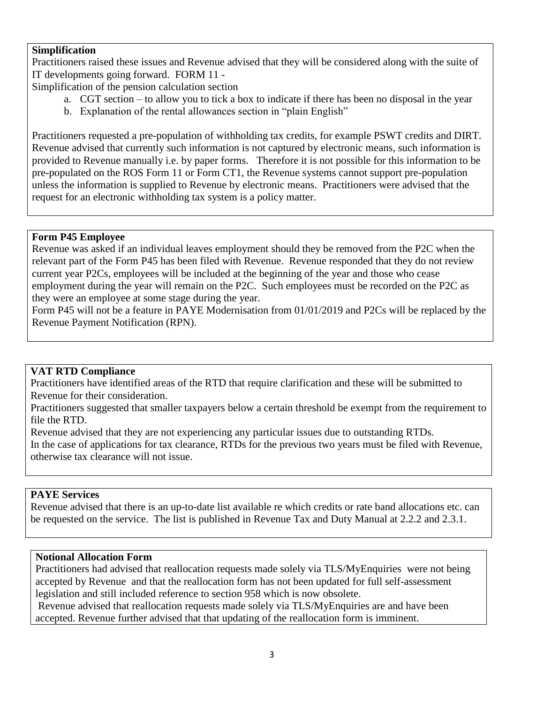### **Simplification**

Practitioners raised these issues and Revenue advised that they will be considered along with the suite of IT developments going forward. FORM 11 -

Simplification of the pension calculation section

- a. CGT section to allow you to tick a box to indicate if there has been no disposal in the year
- b. Explanation of the rental allowances section in "plain English"

Practitioners requested a pre-population of withholding tax credits, for example PSWT credits and DIRT. Revenue advised that currently such information is not captured by electronic means, such information is provided to Revenue manually i.e. by paper forms. Therefore it is not possible for this information to be pre-populated on the ROS Form 11 or Form CT1, the Revenue systems cannot support pre-population unless the information is supplied to Revenue by electronic means. Practitioners were advised that the request for an electronic withholding tax system is a policy matter.

### **Form P45 Employee**

Revenue was asked if an individual leaves employment should they be removed from the P2C when the relevant part of the Form P45 has been filed with Revenue. Revenue responded that they do not review current year P2Cs, employees will be included at the beginning of the year and those who cease employment during the year will remain on the P2C. Such employees must be recorded on the P2C as they were an employee at some stage during the year.

Form P45 will not be a feature in PAYE Modernisation from 01/01/2019 and P2Cs will be replaced by the Revenue Payment Notification (RPN).

### **VAT RTD Compliance**

Practitioners have identified areas of the RTD that require clarification and these will be submitted to Revenue for their consideration.

Practitioners suggested that smaller taxpayers below a certain threshold be exempt from the requirement to file the RTD.

Revenue advised that they are not experiencing any particular issues due to outstanding RTDs. In the case of applications for tax clearance, RTDs for the previous two years must be filed with Revenue, otherwise tax clearance will not issue.

#### **PAYE Services**

Revenue advised that there is an up-to-date list available re which credits or rate band allocations etc. can be requested on the service. The list is published in Revenue Tax and Duty Manual at 2.2.2 and 2.3.1.

#### **Notional Allocation Form**

Practitioners had advised that reallocation requests made solely via TLS/MyEnquiries were not being accepted by Revenue and that the reallocation form has not been updated for full self-assessment legislation and still included reference to section 958 which is now obsolete.

Revenue advised that reallocation requests made solely via TLS/MyEnquiries are and have been accepted. Revenue further advised that that updating of the reallocation form is imminent.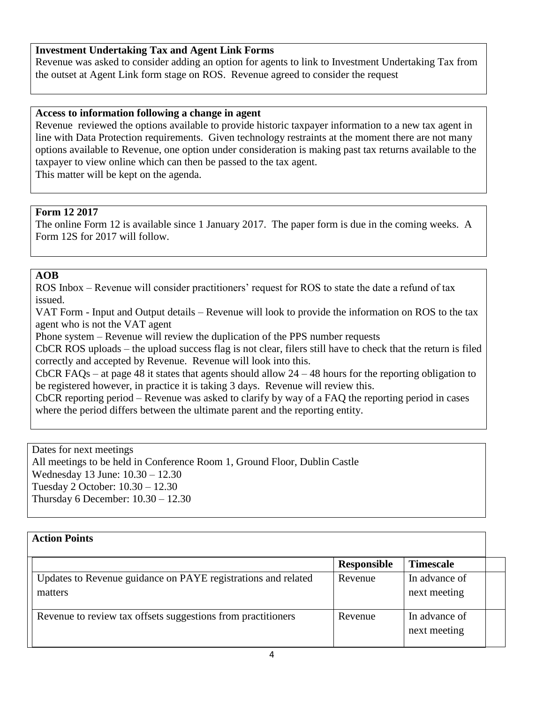### **Investment Undertaking Tax and Agent Link Forms**

Revenue was asked to consider adding an option for agents to link to Investment Undertaking Tax from the outset at Agent Link form stage on ROS. Revenue agreed to consider the request

#### **Access to information following a change in agent**

Revenue reviewed the options available to provide historic taxpayer information to a new tax agent in line with Data Protection requirements. Given technology restraints at the moment there are not many options available to Revenue, one option under consideration is making past tax returns available to the taxpayer to view online which can then be passed to the tax agent. This matter will be kept on the agenda.

#### **Form 12 2017**

The online Form 12 is available since 1 January 2017. The paper form is due in the coming weeks. A Form 12S for 2017 will follow.

### **AOB**

ROS Inbox – Revenue will consider practitioners' request for ROS to state the date a refund of tax issued.

VAT Form - Input and Output details – Revenue will look to provide the information on ROS to the tax agent who is not the VAT agent

Phone system – Revenue will review the duplication of the PPS number requests

CbCR ROS uploads – the upload success flag is not clear, filers still have to check that the return is filed correctly and accepted by Revenue. Revenue will look into this.

CbCR FAQs – at page 48 it states that agents should allow 24 – 48 hours for the reporting obligation to be registered however, in practice it is taking 3 days. Revenue will review this.

CbCR reporting period – Revenue was asked to clarify by way of a FAQ the reporting period in cases where the period differs between the ultimate parent and the reporting entity.

Dates for next meetings All meetings to be held in Conference Room 1, Ground Floor, Dublin Castle Wednesday 13 June: 10.30 – 12.30 Tuesday 2 October: 10.30 – 12.30 Thursday 6 December: 10.30 – 12.30

| <b>Action Points</b>                                                     |                    |                               |  |
|--------------------------------------------------------------------------|--------------------|-------------------------------|--|
|                                                                          | <b>Responsible</b> | <b>Timescale</b>              |  |
| Updates to Revenue guidance on PAYE registrations and related<br>matters | Revenue            | In advance of<br>next meeting |  |
| Revenue to review tax offsets suggestions from practitioners             | Revenue            | In advance of<br>next meeting |  |